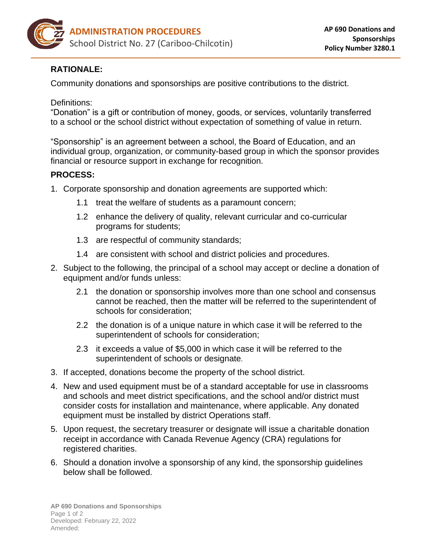

## **RATIONALE:**

Community donations and sponsorships are positive contributions to the district.

Definitions:

"Donation" is a gift or contribution of money, goods, or services, voluntarily transferred to a school or the school district without expectation of something of value in return.

"Sponsorship" is an agreement between a school, the Board of Education, and an individual group, organization, or community-based group in which the sponsor provides financial or resource support in exchange for recognition.

## **PROCESS:**

- 1. Corporate sponsorship and donation agreements are supported which:
	- 1.1 treat the welfare of students as a paramount concern;
	- 1.2 enhance the delivery of quality, relevant curricular and co-curricular programs for students;
	- 1.3 are respectful of community standards;
	- 1.4 are consistent with school and district policies and procedures.
- 2. Subject to the following, the principal of a school may accept or decline a donation of equipment and/or funds unless:
	- 2.1 the donation or sponsorship involves more than one school and consensus cannot be reached, then the matter will be referred to the superintendent of schools for consideration;
	- 2.2 the donation is of a unique nature in which case it will be referred to the superintendent of schools for consideration;
	- 2.3 it exceeds a value of \$5,000 in which case it will be referred to the superintendent of schools or designate.
- 3. If accepted, donations become the property of the school district.
- 4. New and used equipment must be of a standard acceptable for use in classrooms and schools and meet district specifications, and the school and/or district must consider costs for installation and maintenance, where applicable. Any donated equipment must be installed by district Operations staff.
- 5. Upon request, the secretary treasurer or designate will issue a charitable donation receipt in accordance with Canada Revenue Agency (CRA) regulations for registered charities.
- 6. Should a donation involve a sponsorship of any kind, the sponsorship guidelines below shall be followed.